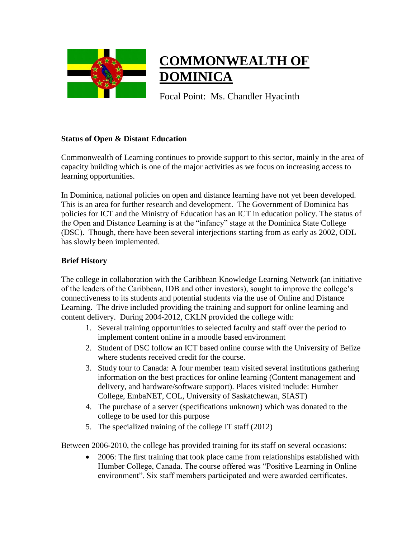

# **COMMONWEALTH OF DOMINICA**

Focal Point: Ms. Chandler Hyacinth

#### **Status of Open & Distant Education**

Commonwealth of Learning continues to provide support to this sector, mainly in the area of capacity building which is one of the major activities as we focus on increasing access to learning opportunities.

In Dominica, national policies on open and distance learning have not yet been developed. This is an area for further research and development. The Government of Dominica has policies for ICT and the Ministry of Education has an ICT in education policy. The status of the Open and Distance Learning is at the "infancy" stage at the Dominica State College (DSC). Though, there have been several interjections starting from as early as 2002, ODL has slowly been implemented.

### **Brief History**

The college in collaboration with the Caribbean Knowledge Learning Network (an initiative of the leaders of the Caribbean, IDB and other investors), sought to improve the college's connectiveness to its students and potential students via the use of Online and Distance Learning. The drive included providing the training and support for online learning and content delivery. During 2004-2012, CKLN provided the college with:

- 1. Several training opportunities to selected faculty and staff over the period to implement content online in a moodle based environment
- 2. Student of DSC follow an ICT based online course with the University of Belize where students received credit for the course.
- 3. Study tour to Canada: A four member team visited several institutions gathering information on the best practices for online learning (Content management and delivery, and hardware/software support). Places visited include: Humber College, EmbaNET, COL, University of Saskatchewan, SIAST)
- 4. The purchase of a server (specifications unknown) which was donated to the college to be used for this purpose
- 5. The specialized training of the college IT staff (2012)

Between 2006-2010, the college has provided training for its staff on several occasions:

• 2006: The first training that took place came from relationships established with Humber College, Canada. The course offered was "Positive Learning in Online environment". Six staff members participated and were awarded certificates.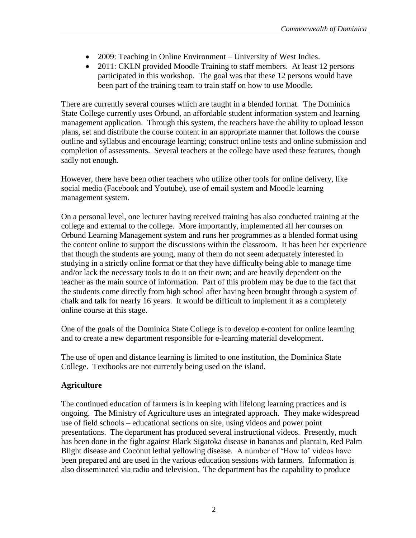- 2009: Teaching in Online Environment University of West Indies.
- 2011: CKLN provided Moodle Training to staff members. At least 12 persons participated in this workshop. The goal was that these 12 persons would have been part of the training team to train staff on how to use Moodle.

There are currently several courses which are taught in a blended format. The Dominica State College currently uses Orbund, an affordable student information system and learning management application. Through this system, the teachers have the ability to upload lesson plans, set and distribute the course content in an appropriate manner that follows the course outline and syllabus and encourage learning; construct online tests and online submission and completion of assessments. Several teachers at the college have used these features, though sadly not enough.

However, there have been other teachers who utilize other tools for online delivery, like social media (Facebook and Youtube), use of email system and Moodle learning management system.

On a personal level, one lecturer having received training has also conducted training at the college and external to the college. More importantly, implemented all her courses on Orbund Learning Management system and runs her programmes as a blended format using the content online to support the discussions within the classroom. It has been her experience that though the students are young, many of them do not seem adequately interested in studying in a strictly online format or that they have difficulty being able to manage time and/or lack the necessary tools to do it on their own; and are heavily dependent on the teacher as the main source of information. Part of this problem may be due to the fact that the students come directly from high school after having been brought through a system of chalk and talk for nearly 16 years. It would be difficult to implement it as a completely online course at this stage.

One of the goals of the Dominica State College is to develop e-content for online learning and to create a new department responsible for e-learning material development.

The use of open and distance learning is limited to one institution, the Dominica State College. Textbooks are not currently being used on the island.

## **Agriculture**

The continued education of farmers is in keeping with lifelong learning practices and is ongoing. The Ministry of Agriculture uses an integrated approach. They make widespread use of field schools – educational sections on site, using videos and power point presentations. The department has produced several instructional videos. Presently, much has been done in the fight against Black Sigatoka disease in bananas and plantain, Red Palm Blight disease and Coconut lethal yellowing disease. A number of 'How to' videos have been prepared and are used in the various education sessions with farmers. Information is also disseminated via radio and television. The department has the capability to produce